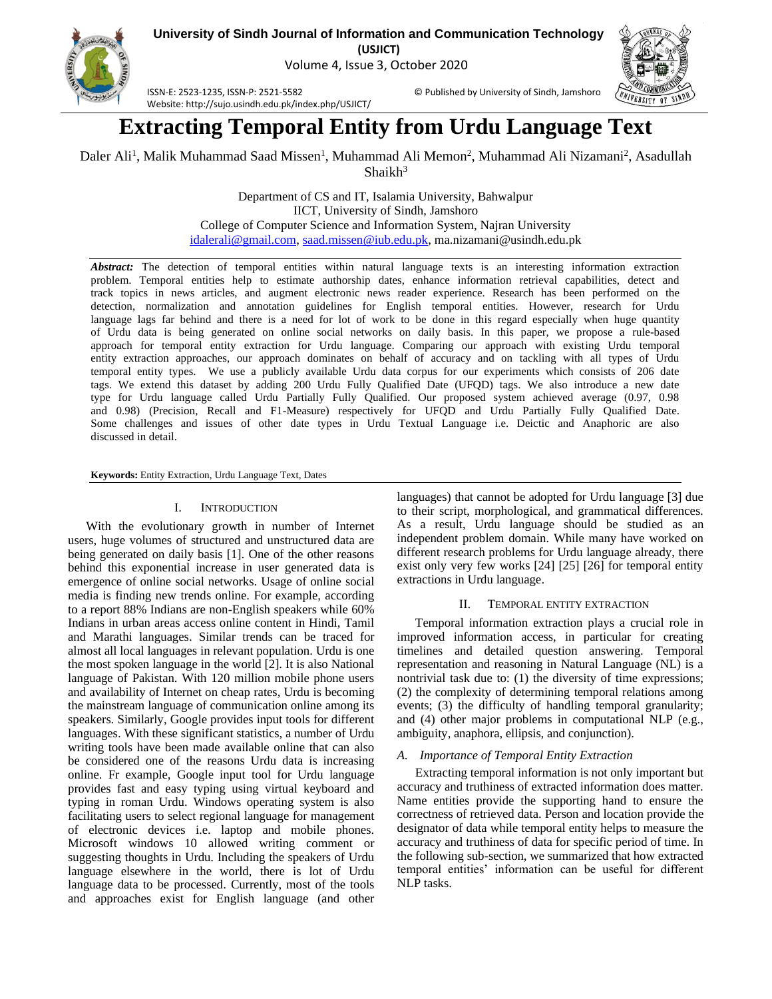

**University of Sindh Journal of Information and Communication Technology (USJICT)**

Volume 4, Issue 3, October 2020



ISSN-E: 2523-1235, ISSN-P: 2521-5582 © Published by University of Sindh, Jamshoro Website: http://sujo.usindh.edu.pk/index.php/USJICT/

# **Extracting Temporal Entity from Urdu Language Text**

Daler Ali<sup>1</sup>, Malik Muhammad Saad Missen<sup>1</sup>, Muhammad Ali Memon<sup>2</sup>, Muhammad Ali Nizamani<sup>2</sup>, Asadullah  $Shaikh<sup>3</sup>$ 

> Department of CS and IT, Isalamia University, Bahwalpur IICT, University of Sindh, Jamshoro College of Computer Science and Information System, Najran University [idalerali@gmail.com,](mailto:idalerali@gmail.com) [saad.missen@iub.edu.pk,](mailto:saad.missen@iub.edu.pk) ma.nizamani@usindh.edu.pk

*Abstract:* The detection of temporal entities within natural language texts is an interesting information extraction problem. Temporal entities help to estimate authorship dates, enhance information retrieval capabilities, detect and track topics in news articles, and augment electronic news reader experience. Research has been performed on the detection, normalization and annotation guidelines for English temporal entities. However, research for Urdu language lags far behind and there is a need for lot of work to be done in this regard especially when huge quantity of Urdu data is being generated on online social networks on daily basis. In this paper, we propose a rule-based approach for temporal entity extraction for Urdu language. Comparing our approach with existing Urdu temporal entity extraction approaches, our approach dominates on behalf of accuracy and on tackling with all types of Urdu temporal entity types. We use a publicly available Urdu data corpus for our experiments which consists of 206 date tags. We extend this dataset by adding 200 Urdu Fully Qualified Date (UFQD) tags. We also introduce a new date type for Urdu language called Urdu Partially Fully Qualified. Our proposed system achieved average (0.97, 0.98 and 0.98) (Precision, Recall and F1-Measure) respectively for UFQD and Urdu Partially Fully Qualified Date. Some challenges and issues of other date types in Urdu Textual Language i.e. Deictic and Anaphoric are also discussed in detail.

**Keywords:** Entity Extraction, Urdu Language Text, Dates

# I. INTRODUCTION

With the evolutionary growth in number of Internet users, huge volumes of structured and unstructured data are being generated on daily basis [1]. One of the other reasons behind this exponential increase in user generated data is emergence of online social networks. Usage of online social media is finding new trends online. For example, according to a report 88% Indians are non-English speakers while 60% Indians in urban areas access online content in Hindi, Tamil and Marathi languages. Similar trends can be traced for almost all local languages in relevant population. Urdu is one the most spoken language in the world [2]. It is also National language of Pakistan. With 120 million mobile phone users and availability of Internet on cheap rates, Urdu is becoming the mainstream language of communication online among its speakers. Similarly, Google provides input tools for different languages. With these significant statistics, a number of Urdu writing tools have been made available online that can also be considered one of the reasons Urdu data is increasing online. Fr example, Google input tool for Urdu language provides fast and easy typing using virtual keyboard and typing in roman Urdu. Windows operating system is also facilitating users to select regional language for management of electronic devices i.e. laptop and mobile phones. Microsoft windows 10 allowed writing comment or suggesting thoughts in Urdu. Including the speakers of Urdu language elsewhere in the world, there is lot of Urdu language data to be processed. Currently, most of the tools and approaches exist for English language (and other

languages) that cannot be adopted for Urdu language [3] due to their script, morphological, and grammatical differences. As a result, Urdu language should be studied as an independent problem domain. While many have worked on different research problems for Urdu language already, there exist only very few works [24] [25] [26] for temporal entity extractions in Urdu language.

# II. TEMPORAL ENTITY EXTRACTION

Temporal information extraction plays a crucial role in improved information access, in particular for creating timelines and detailed question answering. Temporal representation and reasoning in Natural Language (NL) is a nontrivial task due to: (1) the diversity of time expressions; (2) the complexity of determining temporal relations among events; (3) the difficulty of handling temporal granularity; and (4) other major problems in computational NLP (e.g., ambiguity, anaphora, ellipsis, and conjunction).

# *A. Importance of Temporal Entity Extraction*

Extracting temporal information is not only important but accuracy and truthiness of extracted information does matter. Name entities provide the supporting hand to ensure the correctness of retrieved data. Person and location provide the designator of data while temporal entity helps to measure the accuracy and truthiness of data for specific period of time. In the following sub-section, we summarized that how extracted temporal entities' information can be useful for different NLP tasks.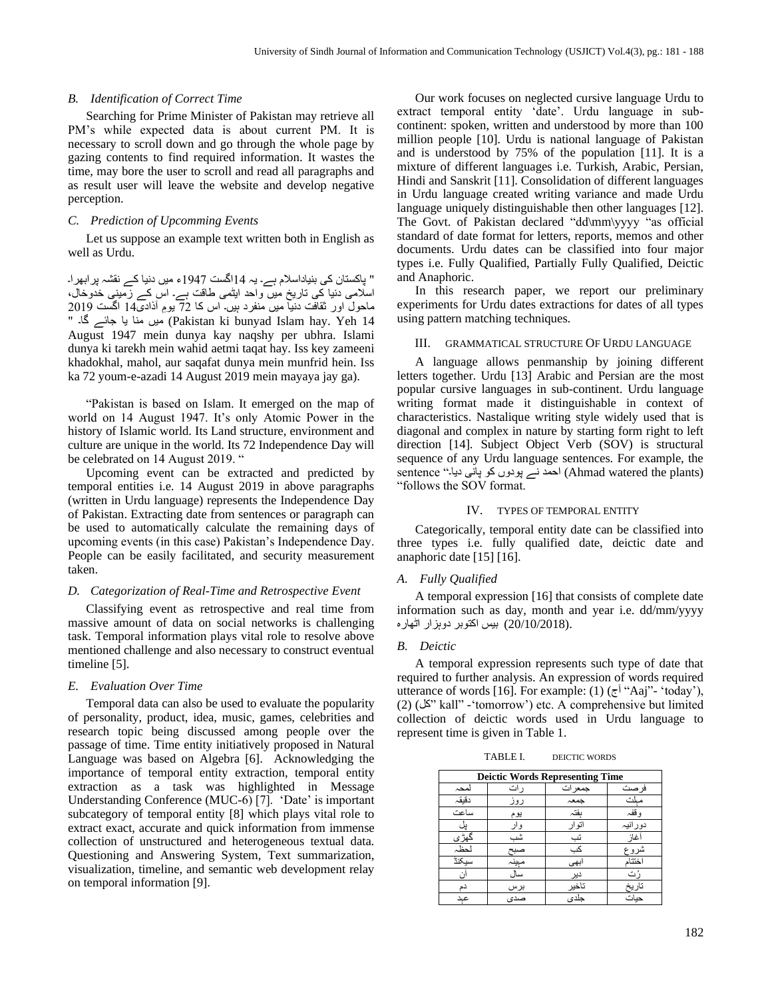#### *B. Identification of Correct Time*

Searching for Prime Minister of Pakistan may retrieve all PM's while expected data is about current PM. It is necessary to scroll down and go through the whole page by gazing contents to find required information. It wastes the time, may bore the user to scroll and read all paragraphs and as result user will leave the website and develop negative perception.

# *C. Prediction of Upcomming Events*

Let us suppose an example text written both in English as well as Urdu.

" پاکستان کی بنیاداسالم ہے۔ یہ 14اگست 1947ء میں دنیا کے نقشہ پرابھرا۔ اسلامی دنیا کی تاریخ میں واحد ایٹمی طاقت ہے۔ اس کے زمینی خدوخال، ماحول اور ثقافت دنیا میں منفرد ہیں۔ اس کا 72 یو م آذاد ی14 اگست 2019 " گا۔ جائے یا منا میں) Pakistan ki bunyad Islam hay. Yeh 14 August 1947 mein dunya kay naqshy per ubhra. Islami dunya ki tarekh mein wahid aetmi taqat hay. Iss key zameeni khadokhal, mahol, aur saqafat dunya mein munfrid hein. Iss ka 72 youm-e-azadi 14 August 2019 mein mayaya jay ga).

"Pakistan is based on Islam. It emerged on the map of world on 14 August 1947. It's only Atomic Power in the history of Islamic world. Its Land structure, environment and culture are unique in the world. Its 72 Independence Day will be celebrated on 14 August 2019. "

Upcoming event can be extracted and predicted by temporal entities i.e. 14 August 2019 in above paragraphs (written in Urdu language) represents the Independence Day of Pakistan. Extracting date from sentences or paragraph can be used to automatically calculate the remaining days of upcoming events (in this case) Pakistan's Independence Day. People can be easily facilitated, and security measurement taken.

#### *D. Categorization of Real-Time and Retrospective Event*

Classifying event as retrospective and real time from massive amount of data on social networks is challenging task. Temporal information plays vital role to resolve above mentioned challenge and also necessary to construct eventual timeline [5].

#### *E. Evaluation Over Time*

Temporal data can also be used to evaluate the popularity of personality, product, idea, music, games, celebrities and research topic being discussed among people over the passage of time. Time entity initiatively proposed in Natural Language was based on Algebra [6]. Acknowledging the importance of temporal entity extraction, temporal entity extraction as a task was highlighted in Message Understanding Conference (MUC-6) [7]. 'Date' is important subcategory of temporal entity [8] which plays vital role to extract exact, accurate and quick information from immense collection of unstructured and heterogeneous textual data. Questioning and Answering System, Text summarization, visualization, timeline, and semantic web development relay on temporal information [9].

Our work focuses on neglected cursive language Urdu to extract temporal entity 'date'. Urdu language in subcontinent: spoken, written and understood by more than 100 million people [10]. Urdu is national language of Pakistan and is understood by 75% of the population [11]. It is a mixture of different languages i.e. Turkish, Arabic, Persian, Hindi and Sanskrit [11]. Consolidation of different languages in Urdu language created writing variance and made Urdu language uniquely distinguishable then other languages [12]. The Govt. of Pakistan declared "dd\mm\yyyy "as official standard of date format for letters, reports, memos and other documents. Urdu dates can be classified into four major types i.e. Fully Qualified, Partially Fully Qualified, Deictic and Anaphoric.

In this research paper, we report our preliminary experiments for Urdu dates extractions for dates of all types using pattern matching techniques.

# III. GRAMMATICAL STRUCTURE OF URDU LANGUAGE

A language allows penmanship by joining different letters together. Urdu [13] Arabic and Persian are the most popular cursive languages in sub-continent. Urdu language writing format made it distinguishable in context of characteristics. Nastalique writing style widely used that is diagonal and complex in nature by starting form right to left direction [14]. Subject Object Verb (SOV) is structural sequence of any Urdu language sentences. For example, the sentence "احمد نے پودوں کو پانی دیا۔ " sentence (Ahmad watered the plants) "follows the SOV format.

#### IV. TYPES OF TEMPORAL ENTITY

Categorically, temporal entity date can be classified into three types i.e. fully qualified date, deictic date and anaphoric date [15] [16].

#### *A. Fully Qualified*

A temporal expression [16] that consists of complete date information such as day, month and year i.e. dd/mm/yyyy .(20/10/2018) بیس اکتوبر دوہزار اٹھارہ

## *B. Deictic*

A temporal expression represents such type of date that required to further analysis. An expression of words required utterance of words [16]. For example: (1)  $(\bar{z}^{\dagger}$  "Aaj"- 'today'), (2) (کل "kall" -'tomorrow') etc. A comprehensive but limited collection of deictic words used in Urdu language to represent time is given in Table 1.

TABLE I. DEICTIC WORDS

|       |       | <b>Deictic Words Representing Time</b> |         |
|-------|-------|----------------------------------------|---------|
| لمحہ  | ر ات  | جمعر ات                                | فر صت   |
| دقيقہ | روز   | جمعہ                                   | مبلت    |
| ساعت  | يوم   | بفتہ                                   | و قفہ   |
| پل    | وار   | انوار                                  | دورانيہ |
| گهڙي  | شب    | تب                                     | أغاز    |
| حظہ   | صبح   | <u>کب</u>                              | شروع    |
| سيكنڈ | مېينہ | ابهى                                   | اختتاء  |
|       | سال   | دير                                    | ر' ت    |
| دھ    | برس   | تاخير                                  | تاريخ   |
| عبد   | صدی   | جلدى                                   | حيات    |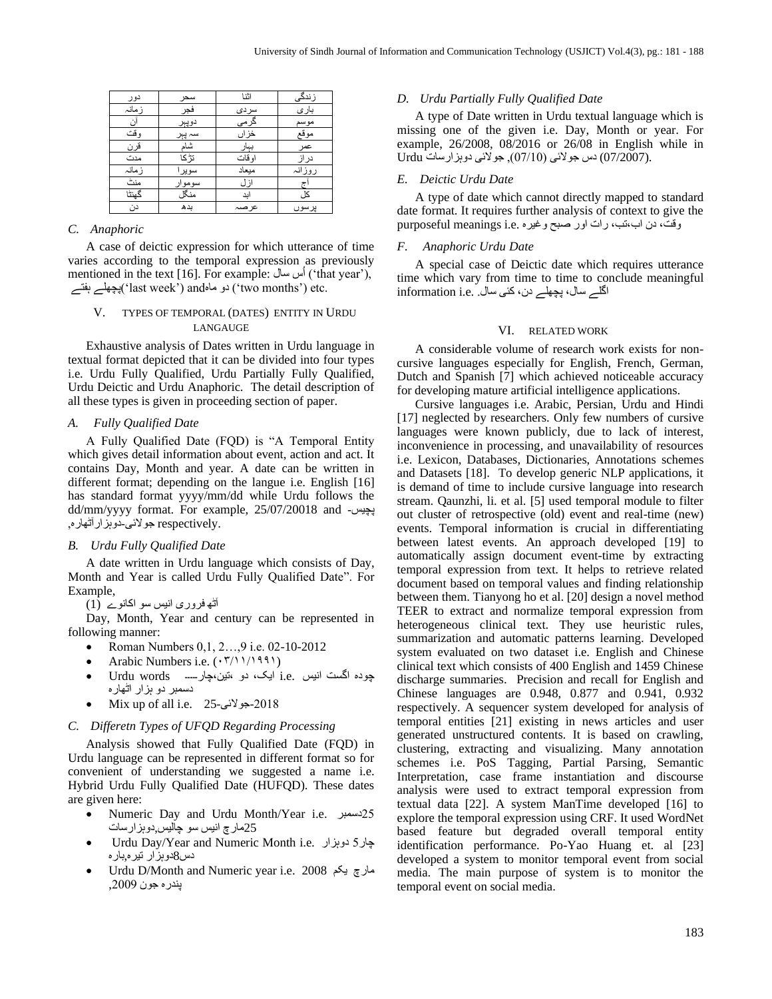| دو ر   | سحر    | اثنا   | زندگی  |
|--------|--------|--------|--------|
| ز مانہ | فجر    | سردى   | بارى   |
| ان     | دوپېر  | گرمی   | موسم   |
| و قت   | سہ پېر | خزاں   | موقع   |
| قرن    | شاھ    | بہار   | عمر    |
| مدت    | تڑ کا  | او قات | در از  |
| ز مانہ | سويرا  | ميعاد  | روزانہ |
| منٹ    | سوموار | از ل   |        |
| گهنٹا  | منگل   | ابد    | کا ،   |
| دن     | بدھ    | عر صبہ | يرسوں  |

# *C. Anaphoric*

A case of deictic expression for which utterance of time varies according to the temporal expression as previously mentioned in the text [16]. For example: أس سال (that year'), ہفتے پچھلے')last week') andماہ دو') two months') etc.

# V. TYPES OF TEMPORAL (DATES) ENTITY IN URDU LANGAUGE

Exhaustive analysis of Dates written in Urdu language in textual format depicted that it can be divided into four types i.e. Urdu Fully Qualified, Urdu Partially Fully Qualified, Urdu Deictic and Urdu Anaphoric. The detail description of all these types is given in proceeding section of paper.

## *A. Fully Qualified Date*

A Fully Qualified Date (FQD) is "A Temporal Entity which gives detail information about event, action and act. It contains Day, Month and year. A date can be written in different format; depending on the langue i.e. English [16] has standard format yyyy/mm/dd while Urdu follows the dd/mm/yyyy format. For example, 25/07/20018 and - پچیس .respectively جوالئی -دوہزارآٹھارہ,

#### *B. Urdu Fully Qualified Date*

A date written in Urdu language which consists of Day, Month and Year is called Urdu Fully Qualified Date". For Example,

آٹھ فروری انیس سو اکانوے (1)

Day, Month, Year and century can be represented in following manner:

- Roman Numbers 0, 1, 2..., 9 i.e. 02-10-2012
- Arabic Numbers i.e.  $(\cdot \frac{r}{1})^{1991}$
- چودہ اگست انیس .e.i ایک، دو ،تین،چار۔۔۔۔۔ words Urdu• دسمبر دو ہزار اٹھارہ
- Mix up of all i.e. 25- جوالئی-2018

## *C. Differetn Types of UFQD Regarding Processing*

Analysis showed that Fully Qualified Date (FQD) in Urdu language can be represented in different format so for convenient of understanding we suggested a name i.e. Hybrid Urdu Fully Qualified Date (HUFQD). These dates are given here:

- Numeric Day and Urdu Month/Year i.e. دسمبر25 25مارچ انیس سو چالیس,دوہزارسات
- Urdu Day/Year and Numeric Month i.e. دوہزار 5چار دس 8دوہزار تیرہ ,بارہ
- Urdu D/Month and Numeric year i.e. 2008 یکم مارچ پندرہ جون ,2009

#### *D. Urdu Partially Fully Qualified Date*

A type of Date written in Urdu textual language which is missing one of the given i.e. Day, Month or year. For example, 26/2008, 08/2016 or 26/08 in English while in Urdu دس جولائی (07/10), جولائی دوہزارسات Urdu

#### *E. Deictic Urdu Date*

A type of date which cannot directly mapped to standard date format. It requires further analysis of context to give the وقت، دن اب،تب، رات اور صبح وغیرہ .e.i meanings purposeful

## *F. Anaphoric Urdu Date*

A special case of Deictic date which requires utterance time which vary from time to time to conclude meaningful اگلے سال، پچھلے دن، کئی سال. .e.i information

## VI. RELATED WORK

A considerable volume of research work exists for noncursive languages especially for English, French, German, Dutch and Spanish [7] which achieved noticeable accuracy for developing mature artificial intelligence applications.

Cursive languages i.e. Arabic, Persian, Urdu and Hindi [17] neglected by researchers. Only few numbers of cursive languages were known publicly, due to lack of interest, inconvenience in processing, and unavailability of resources i.e. Lexicon, Databases, Dictionaries, Annotations schemes and Datasets [18]. To develop generic NLP applications, it is demand of time to include cursive language into research stream. Qaunzhi, li. et al. [5] used temporal module to filter out cluster of retrospective (old) event and real-time (new) events. Temporal information is crucial in differentiating between latest events. An approach developed [19] to automatically assign document event-time by extracting temporal expression from text. It helps to retrieve related document based on temporal values and finding relationship between them. Tianyong ho et al. [20] design a novel method TEER to extract and normalize temporal expression from heterogeneous clinical text. They use heuristic rules, summarization and automatic patterns learning. Developed system evaluated on two dataset i.e. English and Chinese clinical text which consists of 400 English and 1459 Chinese discharge summaries. Precision and recall for English and Chinese languages are 0.948, 0.877 and 0.941, 0.932 respectively. A sequencer system developed for analysis of temporal entities [21] existing in news articles and user generated unstructured contents. It is based on crawling, clustering, extracting and visualizing. Many annotation schemes i.e. PoS Tagging, Partial Parsing, Semantic Interpretation, case frame instantiation and discourse analysis were used to extract temporal expression from textual data [22]. A system ManTime developed [16] to explore the temporal expression using CRF. It used WordNet based feature but degraded overall temporal entity identification performance. Po-Yao Huang et. al [23] developed a system to monitor temporal event from social media. The main purpose of system is to monitor the temporal event on social media.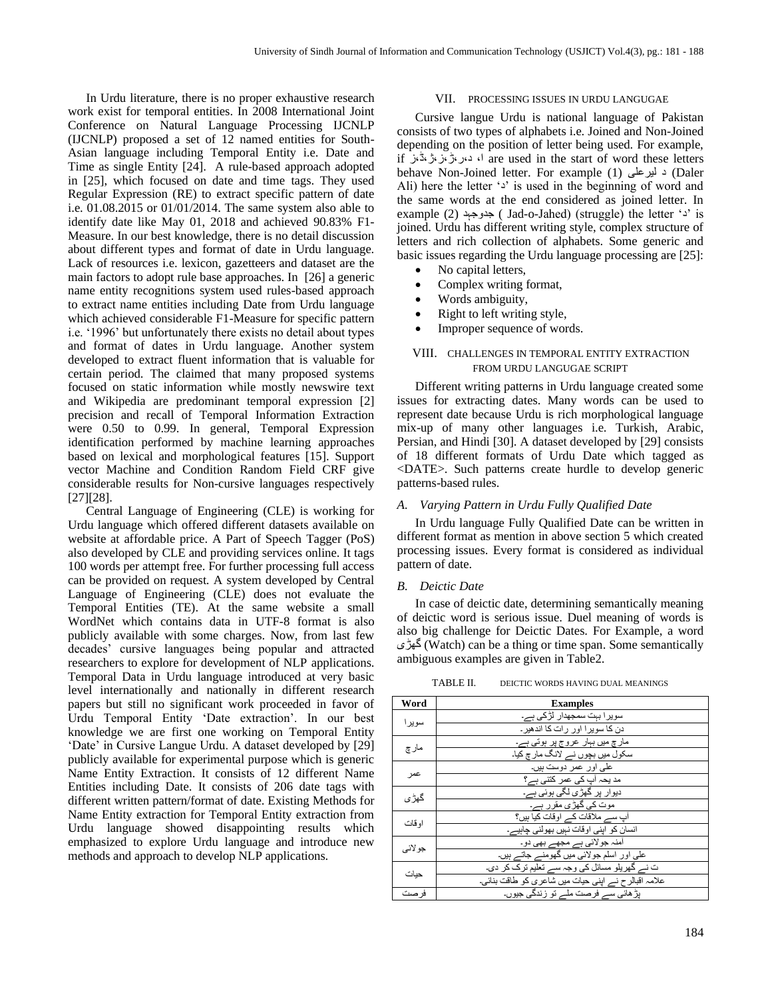In Urdu literature, there is no proper exhaustive research work exist for temporal entities. In 2008 International Joint Conference on Natural Language Processing IJCNLP (IJCNLP) proposed a set of 12 named entities for South-Asian language including Temporal Entity i.e. Date and Time as single Entity [24]. A rule-based approach adopted in [25], which focused on date and time tags. They used Regular Expression (RE) to extract specific pattern of date i.e. 01.08.2015 or 01/01/2014. The same system also able to identify date like May 01, 2018 and achieved 90.83% F1- Measure. In our best knowledge, there is no detail discussion about different types and format of date in Urdu language. Lack of resources i.e. lexicon, gazetteers and dataset are the main factors to adopt rule base approaches. In [26] a generic name entity recognitions system used rules-based approach to extract name entities including Date from Urdu language which achieved considerable F1-Measure for specific pattern i.e. '1996' but unfortunately there exists no detail about types and format of dates in Urdu language. Another system developed to extract fluent information that is valuable for certain period. The claimed that many proposed systems focused on static information while mostly newswire text and Wikipedia are predominant temporal expression [2] precision and recall of Temporal Information Extraction were 0.50 to 0.99. In general, Temporal Expression identification performed by machine learning approaches based on lexical and morphological features [15]. Support vector Machine and Condition Random Field CRF give considerable results for Non-cursive languages respectively [27][28].

Central Language of Engineering (CLE) is working for Urdu language which offered different datasets available on website at affordable price. A Part of Speech Tagger (PoS) also developed by CLE and providing services online. It tags 100 words per attempt free. For further processing full access can be provided on request. A system developed by Central Language of Engineering (CLE) does not evaluate the Temporal Entities (TE). At the same website a small WordNet which contains data in UTF-8 format is also publicly available with some charges. Now, from last few decades' cursive languages being popular and attracted researchers to explore for development of NLP applications. Temporal Data in Urdu language introduced at very basic level internationally and nationally in different research papers but still no significant work proceeded in favor of Urdu Temporal Entity 'Date extraction'. In our best knowledge we are first one working on Temporal Entity 'Date' in Cursive Langue Urdu. A dataset developed by [29] publicly available for experimental purpose which is generic Name Entity Extraction. It consists of 12 different Name Entities including Date. It consists of 206 date tags with different written pattern/format of date. Existing Methods for Name Entity extraction for Temporal Entity extraction from Urdu language showed disappointing results which emphasized to explore Urdu language and introduce new methods and approach to develop NLP applications.

## VII. PROCESSING ISSUES IN URDU LANGUGAE

Cursive langue Urdu is national language of Pakistan consists of two types of alphabets i.e. Joined and Non-Joined depending on the position of letter being used. For example, if آ، د،ر،ژ،ز،ژ،ڈ،ز if د،ر، ژ،ز، ڈ،ز if word these letters behave Non-Joined letter. For example (1) لیرعلی د) Daler Ali) here the letter 's' is used in the beginning of word and the same words at the end considered as joined letter. In example (2) د جدوجہ ) Jad-o-Jahed) (struggle) the letter 'د 'is joined. Urdu has different writing style, complex structure of letters and rich collection of alphabets. Some generic and basic issues regarding the Urdu language processing are [25]:

- No capital letters,
- Complex writing format,
- Words ambiguity,
- Right to left writing style,
- Improper sequence of words.

# VIII. CHALLENGES IN TEMPORAL ENTITY EXTRACTION FROM URDU LANGUGAE SCRIPT

Different writing patterns in Urdu language created some issues for extracting dates. Many words can be used to represent date because Urdu is rich morphological language mix-up of many other languages i.e. Turkish, Arabic, Persian, and Hindi [30]. A dataset developed by [29] consists of 18 different formats of Urdu Date which tagged as <DATE>. Such patterns create hurdle to develop generic patterns-based rules.

## *A. Varying Pattern in Urdu Fully Qualified Date*

In Urdu language Fully Qualified Date can be written in different format as mention in above section 5 which created processing issues. Every format is considered as individual pattern of date.

## *B. Deictic Date*

In case of deictic date, determining semantically meaning of deictic word is serious issue. Duel meaning of words is also big challenge for Deictic Dates. For Example, a word گھڑی) Watch) can be a thing or time span. Some semantically ambiguous examples are given in Table2.

| TABLE II. | DEICTIC WORDS HAVING DUAL MEANINGS |
|-----------|------------------------------------|
|           |                                    |

| Word     | <b>Examples</b>                                            |
|----------|------------------------------------------------------------|
| سو بر ۱  | سویر ا بہت سمجھدار  لڑکی ہے۔                               |
|          | دن کا سویر ۱ اور ار ات کا اندھیر ۔                         |
| مارچ     | مار چ میں بہار عر <u>و ج پر</u> ہوتی ہے۔                   |
|          | سکول میں بچوں نے لانگ مار چ کیا۔                           |
| عمر      | علی اور عمر دوست بیں۔                                      |
|          | مد یحہ آپ کی عمر کتنی ہے؟                                  |
| گھڑ' ی   | دیوار پر گھڑ <i>ی ل</i> گی ہوئی ہے۔                        |
|          | <mark>موت کی گھڑی مقرر ہے۔</mark>                          |
| او قات   | آب سے ملاقات کے اوقات کیا ہیں؟                             |
|          | انسان کو اپنی اوقات نہیں بھولنی چاہیے۔                     |
| جو لائے، | أمنہ جو لائي ٻے مجھے بھي دو۔                               |
|          | علی اور اسلم جولائی میں گھومنے جاتے ہیں۔                   |
| حبات     | ت نے گھریلو مسائل کی وجہ سے تعلیم ترک کر دی۔               |
|          | علامہ اقبالر ح نـــر اپنـى حيات ميں شاعر ى كو طاقت بنائـى۔ |
| ور صت    | بڑ ھائے سے فرصت ملے تو ز ندگے جبوں۔                        |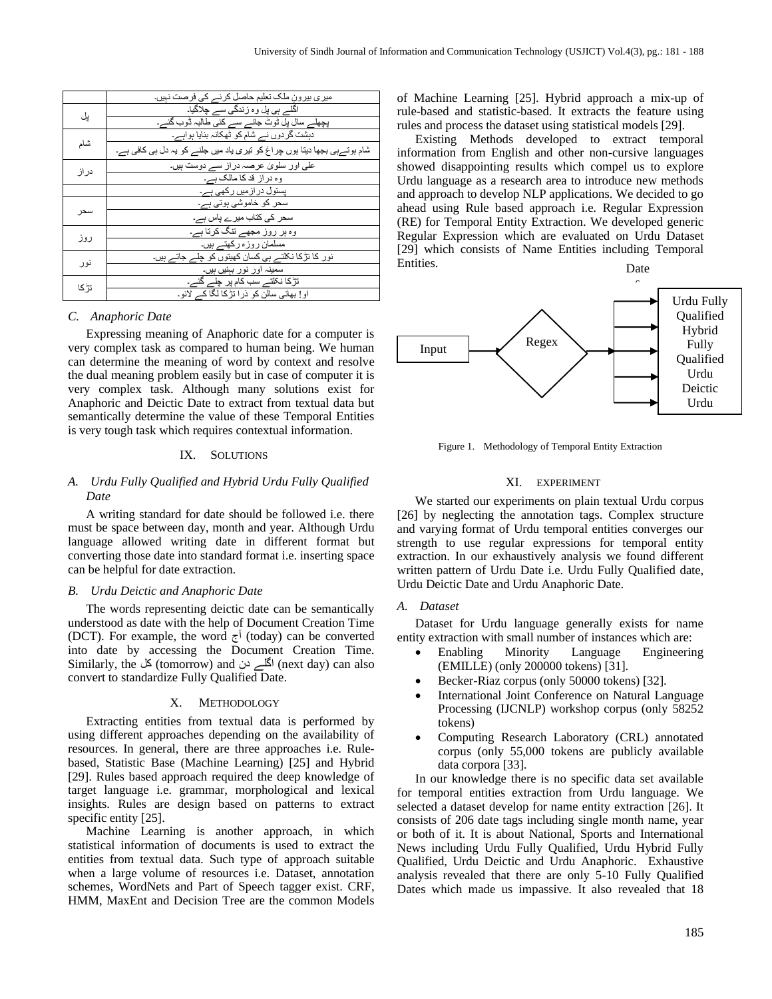|       | میر ی بیرون ملک تعلیم حاصل کرنے کی فرصت نہیں۔                            |
|-------|--------------------------------------------------------------------------|
| يل    | اگلے ہی پل وہ زندگی سے چلاگیا۔                                           |
|       | پچھلے سال پل ٹوٹ جانے سے کئی طالبہ ڈوب گئے۔                              |
|       | دہشت گردوں نے شام کو ٹھکانہ بنایا ہواہے۔                                 |
| شام   | شام ہوتےہی بجھا دیتا ہوں چر اغ کو تیری یاد میں جلنے کو یہ دل ہی کافی ہے۔ |
|       | علی اور سلویٰ عرصہ در از سے دوست ہیں۔                                    |
| در از | وہ در از قد کا مالک ہے۔                                                  |
|       | پستول در از میں رکھی ہے۔                                                 |
|       | سحر کو خاموشی ہوتی ہے۔                                                   |
| سحر   | سحر کی کتاب میرے پاس ہے۔                                                 |
|       | وہ ہر روز مجھے تنگ کرتا ہے۔                                              |
| روز   | مسلمان روزه رکھتے ہیں۔                                                   |
|       | نور کا نڑکا نکلتے ہی کسان کھیتوں کو چلے جاتے ہیں۔                        |
| نور   | سمینہ اور نور بېنیں ہیں۔                                                 |
| تڑ کا | تڑکا نکلتے سب کام پر چلے گئے۔                                            |
|       | او! بھائی سالن کو ذرا تڑکا لگا کے لائو۔                                  |

## *C. Anaphoric Date*

Expressing meaning of Anaphoric date for a computer is very complex task as compared to human being. We human can determine the meaning of word by context and resolve the dual meaning problem easily but in case of computer it is very complex task. Although many solutions exist for Anaphoric and Deictic Date to extract from textual data but semantically determine the value of these Temporal Entities is very tough task which requires contextual information.

## IX. SOLUTIONS

# *A. Urdu Fully Qualified and Hybrid Urdu Fully Qualified Date*

A writing standard for date should be followed i.e. there must be space between day, month and year. Although Urdu language allowed writing date in different format but converting those date into standard format i.e. inserting space can be helpful for date extraction.

## *B. Urdu Deictic and Anaphoric Date*

The words representing deictic date can be semantically understood as date with the help of Document Creation Time (DCT). For example, the word  $\overline{z}^{\dagger}$  (today) can be converted into date by accessing the Document Creation Time. Similarly, the کلے دن (tomorrow) and انگلے دن (next day) can also convert to standardize Fully Qualified Date.

## X. METHODOLOGY

Extracting entities from textual data is performed by using different approaches depending on the availability of resources. In general, there are three approaches i.e. Rulebased, Statistic Base (Machine Learning) [25] and Hybrid [29]. Rules based approach required the deep knowledge of target language i.e. grammar, morphological and lexical insights. Rules are design based on patterns to extract specific entity [25].

Machine Learning is another approach, in which statistical information of documents is used to extract the entities from textual data. Such type of approach suitable when a large volume of resources i.e. Dataset, annotation schemes, WordNets and Part of Speech tagger exist. CRF, HMM, MaxEnt and Decision Tree are the common Models of Machine Learning [25]. Hybrid approach a mix-up of rule-based and statistic-based. It extracts the feature using rules and process the dataset using statistical models [29].

Existing Methods developed to extract temporal information from English and other non-cursive languages showed disappointing results which compel us to explore Urdu language as a research area to introduce new methods and approach to develop NLP applications. We decided to go ahead using Rule based approach i.e. Regular Expression (RE) for Temporal Entity Extraction. We developed generic Regular Expression which are evaluated on Urdu Dataset [29] which consists of Name Entities including Temporal Entities.





Figure 1. Methodology of Temporal Entity Extraction

## XI. EXPERIMENT

We started our experiments on plain textual Urdu corpus [26] by neglecting the annotation tags. Complex structure and varying format of Urdu temporal entities converges our strength to use regular expressions for temporal entity extraction. In our exhaustively analysis we found different written pattern of Urdu Date i.e. Urdu Fully Qualified date, Urdu Deictic Date and Urdu Anaphoric Date.

## *A. Dataset*

Dataset for Urdu language generally exists for name entity extraction with small number of instances which are:

- Enabling Minority Language Engineering (EMILLE) (only 200000 tokens) [31].
- Becker-Riaz corpus (only 50000 tokens) [32].
- International Joint Conference on Natural Language Processing (IJCNLP) workshop corpus (only 58252 tokens)
- Computing Research Laboratory (CRL) annotated corpus (only 55,000 tokens are publicly available data corpora [33].

In our knowledge there is no specific data set available for temporal entities extraction from Urdu language. We selected a dataset develop for name entity extraction [26]. It consists of 206 date tags including single month name, year or both of it. It is about National, Sports and International News including Urdu Fully Qualified, Urdu Hybrid Fully Qualified, Urdu Deictic and Urdu Anaphoric. Exhaustive analysis revealed that there are only 5-10 Fully Qualified Dates which made us impassive. It also revealed that 18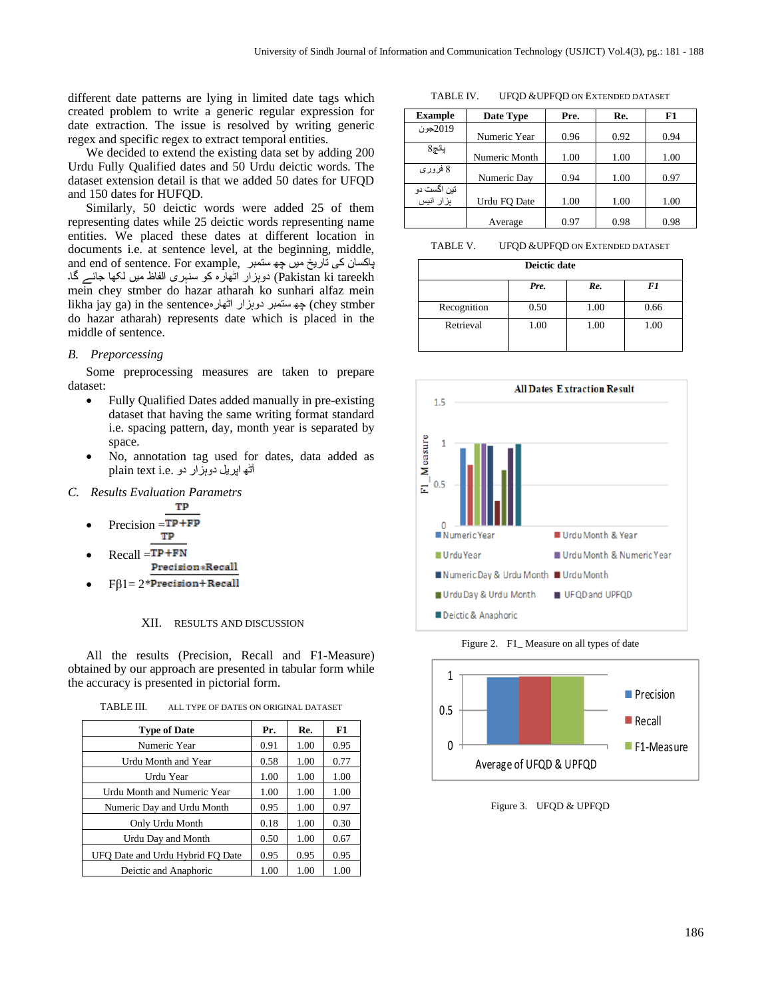different date patterns are lying in limited date tags which created problem to write a generic regular expression for date extraction. The issue is resolved by writing generic regex and specific regex to extract temporal entities.

We decided to extend the existing data set by adding 200 Urdu Fully Qualified dates and 50 Urdu deictic words. The dataset extension detail is that we added 50 dates for UFQD and 150 dates for HUFQD.

Similarly, 50 deictic words were added 25 of them representing dates while 25 deictic words representing name entities. We placed these dates at different location in documents i.e. at sentence level, at the beginning, middle, and end of sentence. For example, پاکسان کی تاریخ میں چھ ستمبر tareekh ki Pakistan (دوہزار اٹھارہ کو سنہری الفاظ میں لکھا جائے گا۔ mein chey stmber do hazar atharah ko sunhari alfaz mein likha jay ga) in the sentence جه ستمبر دوہزار اٹھارہ (chey stmber do hazar atharah) represents date which is placed in the middle of sentence.

# *B. Preporcessing*

Some preprocessing measures are taken to prepare dataset:

- Fully Qualified Dates added manually in pre-existing dataset that having the same writing format standard i.e. spacing pattern, day, month year is separated by space.
- No, annotation tag used for dates, data added as آٹھ اپریل دوہزار دو .e.i text plain

# *C. Results Evaluation Parametrs*

• Precision = 
$$
\frac{TP}{TP + FP}
$$

- $Recall = **TP+FN**$  Precision \* Recall
- $F\beta1 = 2*Precision + Recall$

# XII. RESULTS AND DISCUSSION

All the results (Precision, Recall and F1-Measure) obtained by our approach are presented in tabular form while the accuracy is presented in pictorial form.

TABLE III. ALL TYPE OF DATES ON ORIGINAL DATASET

| <b>Type of Date</b>              | Pr.  | Re.  | F1   |
|----------------------------------|------|------|------|
| Numeric Year                     | 0.91 | 1.00 | 0.95 |
| Urdu Month and Year              | 0.58 | 1.00 | 0.77 |
| Urdu Year                        | 1.00 | 1.00 | 1.00 |
| Urdu Month and Numeric Year      | 1.00 | 1.00 | 1.00 |
| Numeric Day and Urdu Month       | 0.95 | 1.00 | 0.97 |
| Only Urdu Month                  | 0.18 | 1.00 | 0.30 |
| Urdu Day and Month               | 0.50 | 1.00 | 0.67 |
| UFO Date and Urdu Hybrid FO Date | 0.95 | 0.95 | 0.95 |
| Deictic and Anaphoric            | 1.00 | 1.00 | 1.00 |

TABLE IV. UFQD &UPFQD ON EXTENDED DATASET

| <b>Example</b>            | Date Type     | Pre. | Re.  | F1   |
|---------------------------|---------------|------|------|------|
| 2019جون                   | Numeric Year  | 0.96 | 0.92 | 0.94 |
| پانچ8                     |               |      |      |      |
|                           | Numeric Month | 1.00 | 1.00 | 1.00 |
| 8 فروري                   | Numeric Day   | 0.94 | 1.00 | 0.97 |
| تین اگست دو<br>ہز ار انیس |               |      |      |      |
|                           | Urdu FO Date  | 1.00 | 1.00 | 1.00 |
|                           | Average       | 0.97 | 0.98 | 0.98 |

TABLE V. UFQD &UPFQD ON EXTENDED DATASET

| Pre. | Re.  | F1   |
|------|------|------|
| 0.50 | 1.00 | 0.66 |
| 1.00 | 1.00 | 1.00 |
|      |      |      |



Figure 2. F1\_ Measure on all types of date



Figure 3. UFQD & UPFQD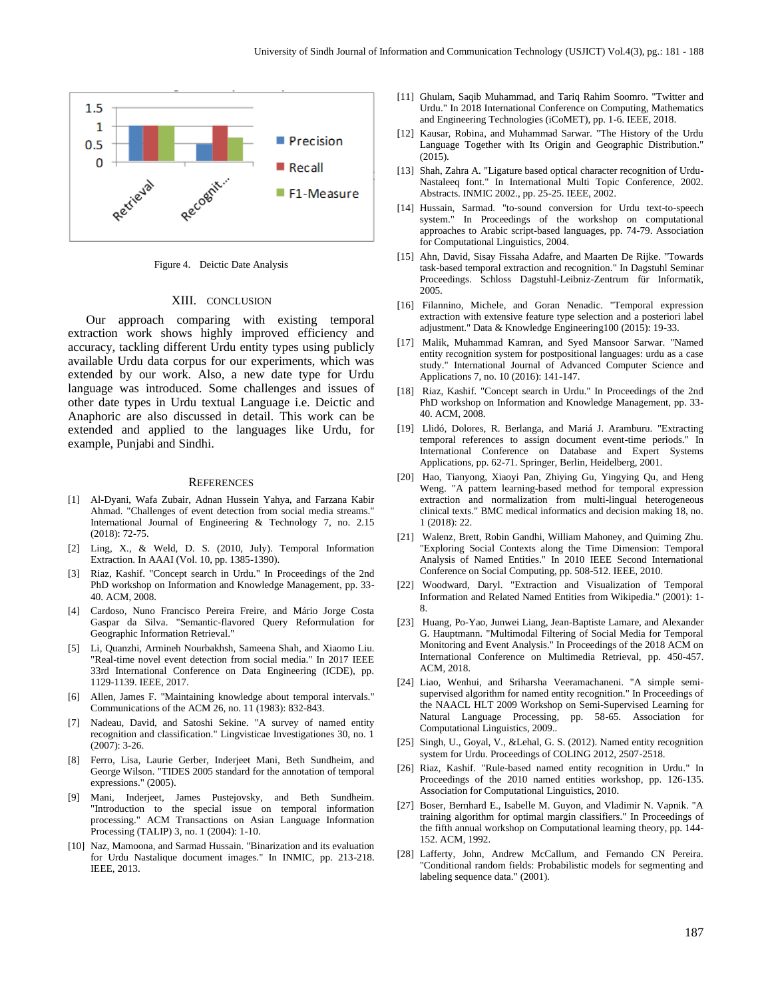

Figure 4. Deictic Date Analysis

#### XIII. CONCLUSION

Our approach comparing with existing temporal extraction work shows highly improved efficiency and accuracy, tackling different Urdu entity types using publicly available Urdu data corpus for our experiments, which was extended by our work. Also, a new date type for Urdu language was introduced. Some challenges and issues of other date types in Urdu textual Language i.e. Deictic and Anaphoric are also discussed in detail. This work can be extended and applied to the languages like Urdu, for example, Punjabi and Sindhi.

#### **REFERENCES**

- [1] Al-Dyani, Wafa Zubair, Adnan Hussein Yahya, and Farzana Kabir Ahmad. "Challenges of event detection from social media streams." International Journal of Engineering & Technology 7, no. 2.15 (2018): 72-75.
- [2] Ling, X., & Weld, D. S. (2010, July). Temporal Information Extraction. In AAAI (Vol. 10, pp. 1385-1390).
- [3] Riaz, Kashif. "Concept search in Urdu." In Proceedings of the 2nd PhD workshop on Information and Knowledge Management, pp. 33- 40. ACM, 2008.
- [4] Cardoso, Nuno Francisco Pereira Freire, and Mário Jorge Costa Gaspar da Silva. "Semantic-flavored Query Reformulation for Geographic Information Retrieval."
- [5] Li, Quanzhi, Armineh Nourbakhsh, Sameena Shah, and Xiaomo Liu. "Real-time novel event detection from social media." In 2017 IEEE 33rd International Conference on Data Engineering (ICDE), pp. 1129-1139. IEEE, 2017.
- [6] Allen, James F. "Maintaining knowledge about temporal intervals." Communications of the ACM 26, no. 11 (1983): 832-843.
- [7] Nadeau, David, and Satoshi Sekine. "A survey of named entity recognition and classification." Lingvisticae Investigationes 30, no. 1 (2007): 3-26.
- [8] Ferro, Lisa, Laurie Gerber, Inderjeet Mani, Beth Sundheim, and George Wilson. "TIDES 2005 standard for the annotation of temporal expressions." (2005).
- [9] Mani, Inderjeet, James Pustejovsky, and Beth Sundheim. "Introduction to the special issue on temporal information processing." ACM Transactions on Asian Language Information Processing (TALIP) 3, no. 1 (2004): 1-10.
- [10] Naz, Mamoona, and Sarmad Hussain. "Binarization and its evaluation for Urdu Nastalique document images." In INMIC, pp. 213-218. IEEE, 2013.
- [11] Ghulam, Saqib Muhammad, and Tariq Rahim Soomro. "Twitter and Urdu." In 2018 International Conference on Computing, Mathematics and Engineering Technologies (iCoMET), pp. 1-6. IEEE, 2018.
- [12] Kausar, Robina, and Muhammad Sarwar. "The History of the Urdu Language Together with Its Origin and Geographic Distribution."  $(2015)$ .
- [13] Shah, Zahra A. "Ligature based optical character recognition of Urdu-Nastaleeq font." In International Multi Topic Conference, 2002. Abstracts. INMIC 2002., pp. 25-25. IEEE, 2002.
- [14] Hussain, Sarmad. "to-sound conversion for Urdu text-to-speech system." In Proceedings of the workshop on computational approaches to Arabic script-based languages, pp. 74-79. Association for Computational Linguistics, 2004.
- [15] Ahn, David, Sisay Fissaha Adafre, and Maarten De Rijke. "Towards task-based temporal extraction and recognition." In Dagstuhl Seminar Proceedings. Schloss Dagstuhl-Leibniz-Zentrum für Informatik, 2005.
- [16] Filannino, Michele, and Goran Nenadic. "Temporal expression extraction with extensive feature type selection and a posteriori label adjustment." Data & Knowledge Engineering100 (2015): 19-33.
- [17] Malik, Muhammad Kamran, and Syed Mansoor Sarwar. "Named entity recognition system for postpositional languages: urdu as a case study." International Journal of Advanced Computer Science and Applications 7, no. 10 (2016): 141-147.
- [18] Riaz, Kashif. "Concept search in Urdu." In Proceedings of the 2nd PhD workshop on Information and Knowledge Management, pp. 33- 40. ACM, 2008.
- [19] Llidó, Dolores, R. Berlanga, and Mariá J. Aramburu. "Extracting temporal references to assign document event-time periods." In International Conference on Database and Expert Systems Applications, pp. 62-71. Springer, Berlin, Heidelberg, 2001.
- [20] Hao, Tianyong, Xiaoyi Pan, Zhiying Gu, Yingying Qu, and Heng Weng. "A pattern learning-based method for temporal expression extraction and normalization from multi-lingual heterogeneous clinical texts." BMC medical informatics and decision making 18, no. 1 (2018): 22.
- [21] Walenz, Brett, Robin Gandhi, William Mahoney, and Quiming Zhu. "Exploring Social Contexts along the Time Dimension: Temporal Analysis of Named Entities." In 2010 IEEE Second International Conference on Social Computing, pp. 508-512. IEEE, 2010.
- [22] Woodward, Daryl. "Extraction and Visualization of Temporal Information and Related Named Entities from Wikipedia." (2001): 1- 8.
- [23] Huang, Po-Yao, Junwei Liang, Jean-Baptiste Lamare, and Alexander G. Hauptmann. "Multimodal Filtering of Social Media for Temporal Monitoring and Event Analysis." In Proceedings of the 2018 ACM on International Conference on Multimedia Retrieval, pp. 450-457. ACM, 2018.
- [24] Liao, Wenhui, and Sriharsha Veeramachaneni. "A simple semisupervised algorithm for named entity recognition." In Proceedings of the NAACL HLT 2009 Workshop on Semi-Supervised Learning for Natural Language Processing, pp. 58-65. Association for Computational Linguistics, 2009..
- [25] Singh, U., Goyal, V., &Lehal, G. S. (2012). Named entity recognition system for Urdu. Proceedings of COLING 2012, 2507-2518.
- [26] Riaz, Kashif. "Rule-based named entity recognition in Urdu." In Proceedings of the 2010 named entities workshop, pp. 126-135. Association for Computational Linguistics, 2010.
- [27] Boser, Bernhard E., Isabelle M. Guyon, and Vladimir N. Vapnik. "A training algorithm for optimal margin classifiers." In Proceedings of the fifth annual workshop on Computational learning theory, pp. 144- 152. ACM, 1992.
- [28] Lafferty, John, Andrew McCallum, and Fernando CN Pereira. "Conditional random fields: Probabilistic models for segmenting and labeling sequence data." (2001).